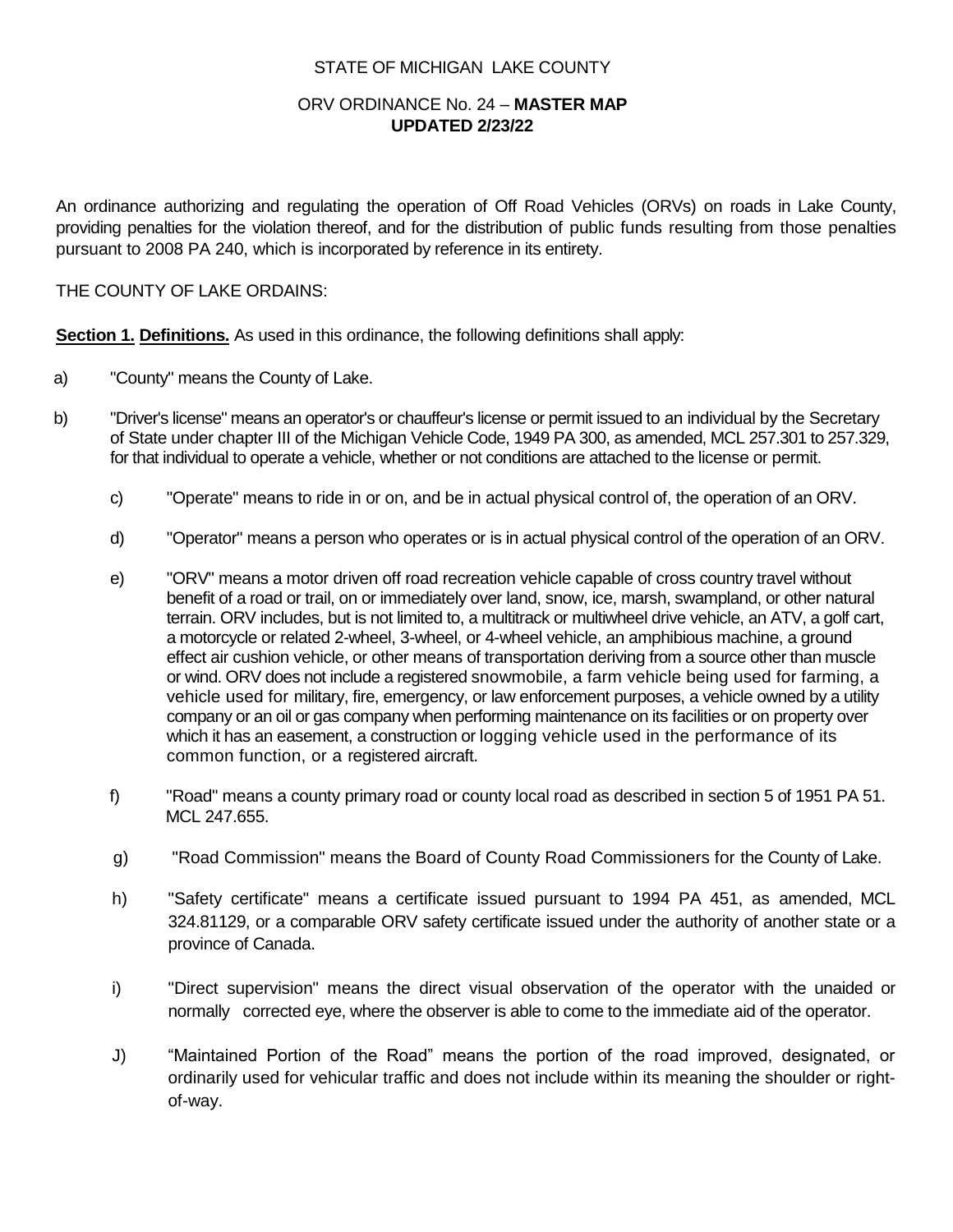### STATE OF MICHIGAN LAKE COUNTY

## ORV ORDINANCE No. 24 – **MASTER MAP UPDATED 2/23/22**

An ordinance authorizing and regulating the operation of Off Road Vehicles (ORVs) on roads in Lake County, providing penalties for the violation thereof, and for the distribution of public funds resulting from those penalties pursuant to 2008 PA 240, which is incorporated by reference in its entirety.

#### THE COUNTY OF LAKE ORDAINS:

**Section 1. Definitions.** As used in this ordinance, the following definitions shall apply:

- a) "County" means the County of Lake.
- b) "Driver's license" means an operator's or chauffeur's license or permit issued to an individual by the Secretary of State under chapter III of the Michigan Vehicle Code, 1949 PA 300, as amended, MCL 257.301 to 257.329, for that individual to operate a vehicle, whether or not conditions are attached to the license or permit.
	- c) "Operate" means to ride in or on, and be in actual physical control of, the operation of an ORV.
	- d) "Operator" means a person who operates or is in actual physical control of the operation of an ORV.
	- e) "ORV" means a motor driven off road recreation vehicle capable of cross country travel without benefit of a road or trail, on or immediately over land, snow, ice, marsh, swampland, or other natural terrain. ORV includes, but is not limited to, a multitrack or multiwheel drive vehicle, an ATV, a golf cart, a motorcycle or related 2-wheel, 3-wheel, or 4-wheel vehicle, an amphibious machine, a ground effect air cushion vehicle, or other means of transportation deriving from a source other than muscle or wind. ORV does not include a registered snowmobile, a farm vehicle being used for farming, a vehicle used for military, fire, emergency, or law enforcement purposes, a vehicle owned by a utility company or an oil or gas company when performing maintenance on its facilities or on property over which it has an easement, a construction or logging vehicle used in the performance of its common function, or a registered aircraft.
	- f) "Road" means a county primary road or county local road as described in section 5 of 1951 PA 51. MCL 247.655.
	- g) "Road Commission" means the Board of County Road Commissioners for the County of Lake.
	- h) "Safety certificate" means a certificate issued pursuant to 1994 PA 451, as amended, MCL 324.81129, or a comparable ORV safety certificate issued under the authority of another state or a province of Canada.
	- i) "Direct supervision" means the direct visual observation of the operator with the unaided or normally corrected eye, where the observer is able to come to the immediate aid of the operator.
	- J) "Maintained Portion of the Road" means the portion of the road improved, designated, or ordinarily used for vehicular traffic and does not include within its meaning the shoulder or rightof-way.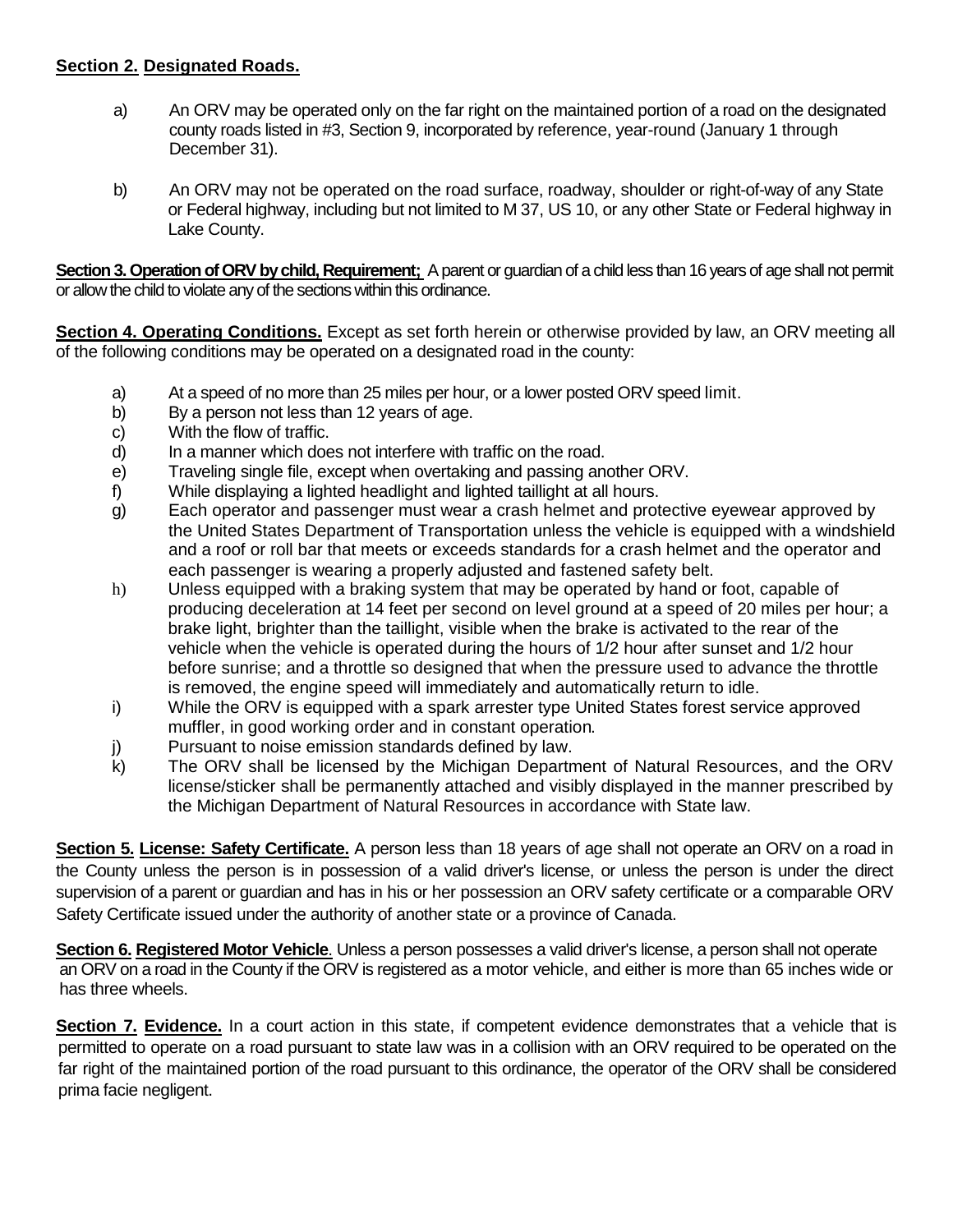# **Section 2. Designated Roads.**

- a) An ORV may be operated only on the far right on the maintained portion of a road on the designated county roads listed in #3, Section 9, incorporated by reference, year-round (January 1 through December 31).
- b) An ORV may not be operated on the road surface, roadway, shoulder or right-of-way of any State or Federal highway, including but not limited to M 37, US 10, or any other State or Federal highway in Lake County.

**Section 3. Operation of ORV by child, Requirement;** A parent or guardian of a child less than 16 years of age shall not permit or allow the child to violate any of the sections within this ordinance.

**Section 4. Operating Conditions.** Except as set forth herein or otherwise provided by law, an ORV meeting all of the following conditions may be operated on a designated road in the county:

- a) At a speed of no more than 25 miles per hour, or a lower posted ORV speed limit.
- b) By a person not less than 12 years of age.
- c) With the flow of traffic.
- d) In a manner which does not interfere with traffic on the road.
- e) Traveling single file, except when overtaking and passing another ORV.
- f) While displaying a lighted headlight and lighted taillight at all hours.
- g) Each operator and passenger must wear a crash helmet and protective eyewear approved by the United States Department of Transportation unless the vehicle is equipped with a windshield and a roof or roll bar that meets or exceeds standards for a crash helmet and the operator and each passenger is wearing a properly adjusted and fastened safety belt.
- h) Unless equipped with a braking system that may be operated by hand or foot, capable of producing deceleration at 14 feet per second on level ground at a speed of 20 miles per hour; a brake light, brighter than the taillight, visible when the brake is activated to the rear of the vehicle when the vehicle is operated during the hours of 1/2 hour after sunset and 1/2 hour before sunrise; and a throttle so designed that when the pressure used to advance the throttle is removed, the engine speed will immediately and automatically return to idle.
- i) While the ORV is equipped with a spark arrester type United States forest service approved muffler, in good working order and in constant operation.
- j) Pursuant to noise emission standards defined by law.
- k) The ORV shall be licensed by the Michigan Department of Natural Resources, and the ORV license/sticker shall be permanently attached and visibly displayed in the manner prescribed by the Michigan Department of Natural Resources in accordance with State law.

**Section 5. License: Safety Certificate.** A person less than 18 years of age shall not operate an ORV on a road in the County unless the person is in possession of a valid driver's license, or unless the person is under the direct supervision of a parent or guardian and has in his or her possession an ORV safety certificate or a comparable ORV Safety Certificate issued under the authority of another state or a province of Canada.

**Section 6. Registered Motor Vehicle**. Unless a person possesses a valid driver's license, a person shall not operate an ORV on a road in the County if the ORV is registered as a motor vehicle, and either is more than 65 inches wide or has three wheels.

**Section 7. Evidence.** In a court action in this state, if competent evidence demonstrates that a vehicle that is permitted to operate on a road pursuant to state law was in a collision with an ORV required to be operated on the far right of the maintained portion of the road pursuant to this ordinance, the operator of the ORV shall be considered prima facie negligent.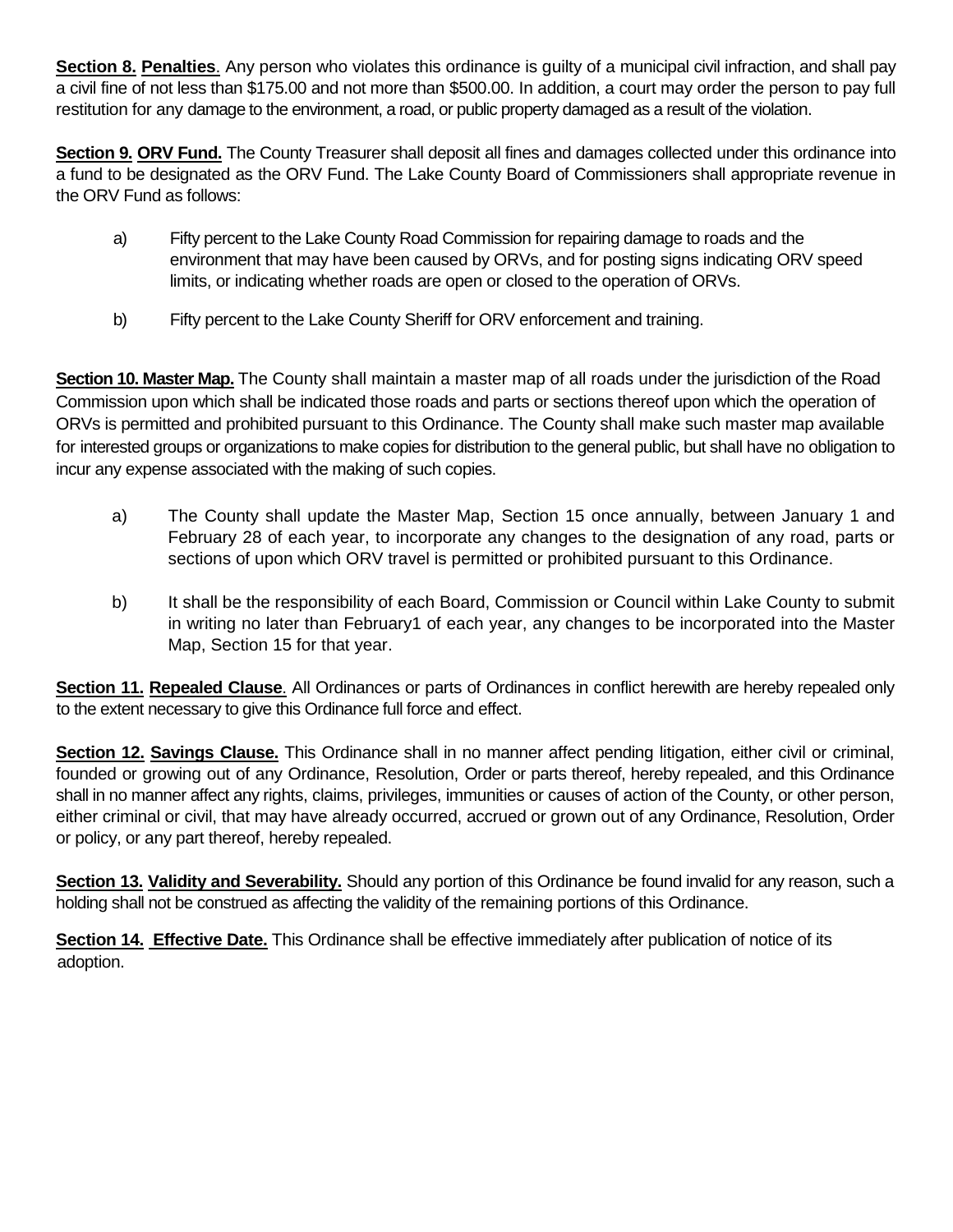**Section 8. Penalties**. Any person who violates this ordinance is guilty of a municipal civil infraction, and shall pay a civil fine of not less than \$175.00 and not more than \$500.00. In addition, a court may order the person to pay full restitution for any damage to the environment, a road, or public property damaged as a result of the violation.

**Section 9. ORV Fund.** The County Treasurer shall deposit all fines and damages collected under this ordinance into a fund to be designated as the ORV Fund. The Lake County Board of Commissioners shall appropriate revenue in the ORV Fund as follows:

- a) Fifty percent to the Lake County Road Commission for repairing damage to roads and the environment that may have been caused by ORVs, and for posting signs indicating ORV speed limits, or indicating whether roads are open or closed to the operation of ORVs.
- b) Fifty percent to the Lake County Sheriff for ORV enforcement and training.

**Section 10. Master Map.** The County shall maintain a master map of all roads under the jurisdiction of the Road Commission upon which shall be indicated those roads and parts or sections thereof upon which the operation of ORVs is permitted and prohibited pursuant to this Ordinance. The County shall make such master map available for interested groups or organizations to make copies for distribution to the general public, but shall have no obligation to incur any expense associated with the making of such copies.

- a) The County shall update the Master Map, Section 15 once annually, between January 1 and February 28 of each year, to incorporate any changes to the designation of any road, parts or sections of upon which ORV travel is permitted or prohibited pursuant to this Ordinance.
- b) It shall be the responsibility of each Board, Commission or Council within Lake County to submit in writing no later than February1 of each year, any changes to be incorporated into the Master Map, Section 15 for that year.

**Section 11. Repealed Clause**. All Ordinances or parts of Ordinances in conflict herewith are hereby repealed only to the extent necessary to give this Ordinance full force and effect.

**Section 12. Savings Clause.** This Ordinance shall in no manner affect pending litigation, either civil or criminal, founded or growing out of any Ordinance, Resolution, Order or parts thereof, hereby repealed, and this Ordinance shall in no manner affect any rights, claims, privileges, immunities or causes of action of the County, or other person, either criminal or civil, that may have already occurred, accrued or grown out of any Ordinance, Resolution, Order or policy, or any part thereof, hereby repealed.

**Section 13. Validity and Severability.** Should any portion of this Ordinance be found invalid for any reason, such a holding shall not be construed as affecting the validity of the remaining portions of this Ordinance.

**Section 14. Effective Date.** This Ordinance shall be effective immediately after publication of notice of its adoption.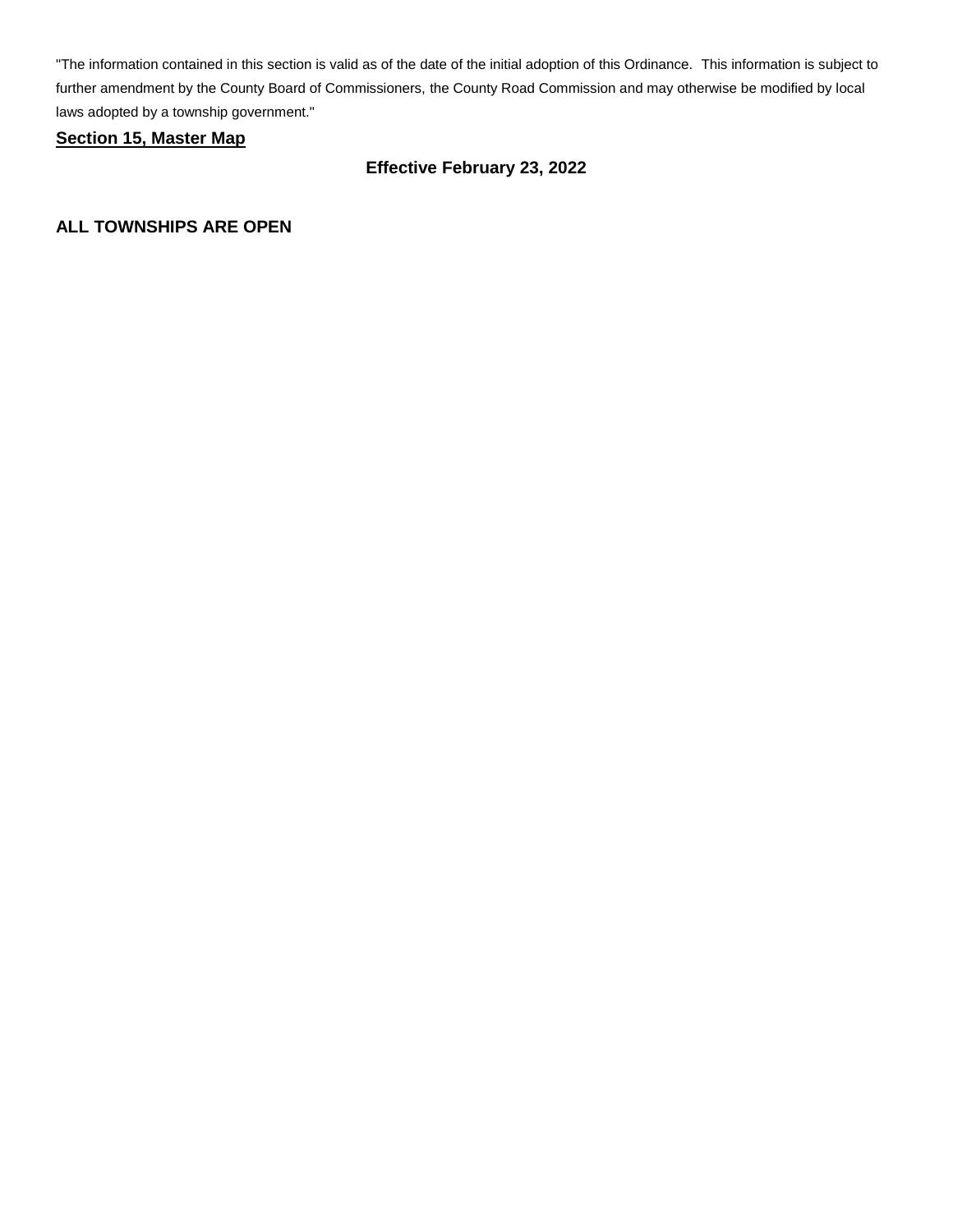"The information contained in this section is valid as of the date of the initial adoption of this Ordinance. This information is subject to further amendment by the County Board of Commissioners, the County Road Commission and may otherwise be modified by local laws adopted by a township government."

## **Section 15, Master Map**

# **Effective February 23, 2022**

**ALL TOWNSHIPS ARE OPEN**